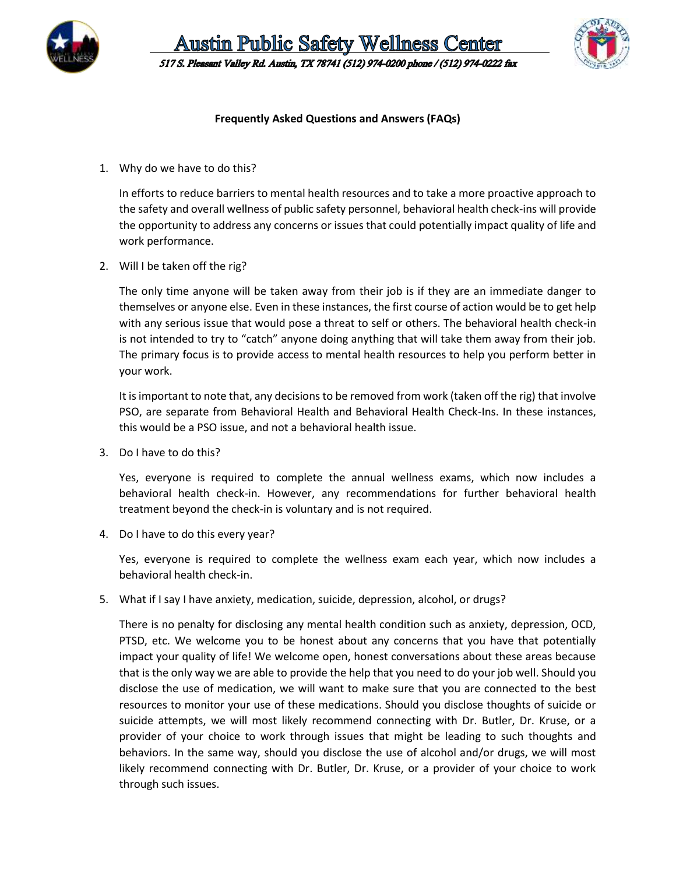

**Austin Public Safety Wellness Center** 517 S. Pleasant Valley Rd. Austin, TX 78741 (512) 974-0200 phone / (512) 974-0222 fax



## **Frequently Asked Questions and Answers (FAQs)**

1. Why do we have to do this?

In efforts to reduce barriers to mental health resources and to take a more proactive approach to the safety and overall wellness of public safety personnel, behavioral health check-ins will provide the opportunity to address any concerns or issues that could potentially impact quality of life and work performance.

2. Will I be taken off the rig?

The only time anyone will be taken away from their job is if they are an immediate danger to themselves or anyone else. Even in these instances, the first course of action would be to get help with any serious issue that would pose a threat to self or others. The behavioral health check-in is not intended to try to "catch" anyone doing anything that will take them away from their job. The primary focus is to provide access to mental health resources to help you perform better in your work.

It is important to note that, any decisions to be removed from work (taken off the rig) that involve PSO, are separate from Behavioral Health and Behavioral Health Check-Ins. In these instances, this would be a PSO issue, and not a behavioral health issue.

3. Do I have to do this?

Yes, everyone is required to complete the annual wellness exams, which now includes a behavioral health check-in. However, any recommendations for further behavioral health treatment beyond the check-in is voluntary and is not required.

4. Do I have to do this every year?

Yes, everyone is required to complete the wellness exam each year, which now includes a behavioral health check-in.

5. What if I say I have anxiety, medication, suicide, depression, alcohol, or drugs?

There is no penalty for disclosing any mental health condition such as anxiety, depression, OCD, PTSD, etc. We welcome you to be honest about any concerns that you have that potentially impact your quality of life! We welcome open, honest conversations about these areas because that is the only way we are able to provide the help that you need to do your job well. Should you disclose the use of medication, we will want to make sure that you are connected to the best resources to monitor your use of these medications. Should you disclose thoughts of suicide or suicide attempts, we will most likely recommend connecting with Dr. Butler, Dr. Kruse, or a provider of your choice to work through issues that might be leading to such thoughts and behaviors. In the same way, should you disclose the use of alcohol and/or drugs, we will most likely recommend connecting with Dr. Butler, Dr. Kruse, or a provider of your choice to work through such issues.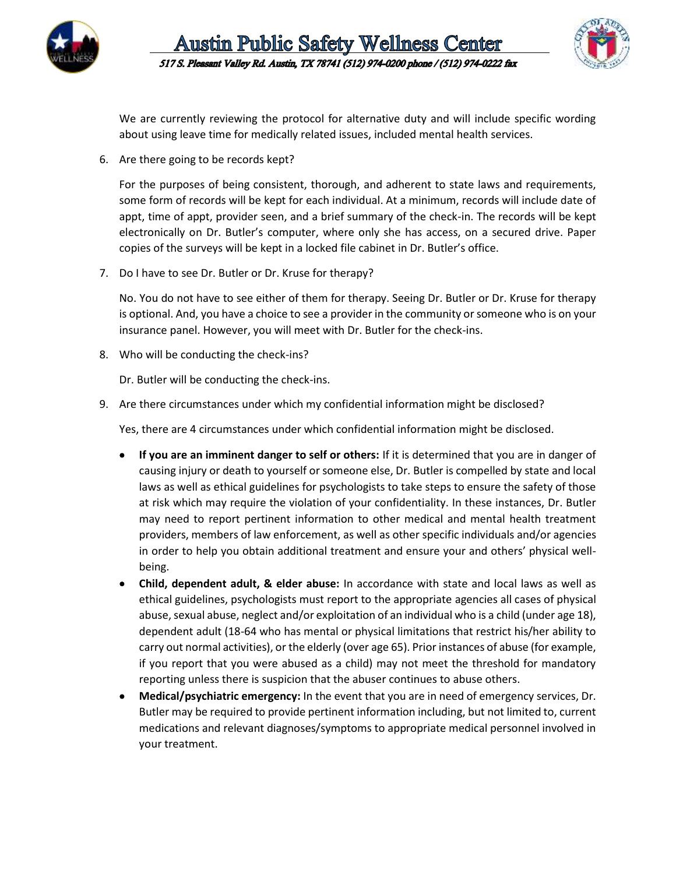



We are currently reviewing the protocol for alternative duty and will include specific wording about using leave time for medically related issues, included mental health services.

6. Are there going to be records kept?

For the purposes of being consistent, thorough, and adherent to state laws and requirements, some form of records will be kept for each individual. At a minimum, records will include date of appt, time of appt, provider seen, and a brief summary of the check-in. The records will be kept electronically on Dr. Butler's computer, where only she has access, on a secured drive. Paper copies of the surveys will be kept in a locked file cabinet in Dr. Butler's office.

7. Do I have to see Dr. Butler or Dr. Kruse for therapy?

No. You do not have to see either of them for therapy. Seeing Dr. Butler or Dr. Kruse for therapy is optional. And, you have a choice to see a provider in the community or someone who is on your insurance panel. However, you will meet with Dr. Butler for the check-ins.

8. Who will be conducting the check-ins?

Dr. Butler will be conducting the check-ins.

9. Are there circumstances under which my confidential information might be disclosed?

Yes, there are 4 circumstances under which confidential information might be disclosed.

- **If you are an imminent danger to self or others:** If it is determined that you are in danger of causing injury or death to yourself or someone else, Dr. Butler is compelled by state and local laws as well as ethical guidelines for psychologists to take steps to ensure the safety of those at risk which may require the violation of your confidentiality. In these instances, Dr. Butler may need to report pertinent information to other medical and mental health treatment providers, members of law enforcement, as well as other specific individuals and/or agencies in order to help you obtain additional treatment and ensure your and others' physical wellbeing.
- **Child, dependent adult, & elder abuse:** In accordance with state and local laws as well as ethical guidelines, psychologists must report to the appropriate agencies all cases of physical abuse, sexual abuse, neglect and/or exploitation of an individual who is a child (under age 18), dependent adult (18-64 who has mental or physical limitations that restrict his/her ability to carry out normal activities), or the elderly (over age 65). Prior instances of abuse (for example, if you report that you were abused as a child) may not meet the threshold for mandatory reporting unless there is suspicion that the abuser continues to abuse others.
- **Medical/psychiatric emergency:** In the event that you are in need of emergency services, Dr. Butler may be required to provide pertinent information including, but not limited to, current medications and relevant diagnoses/symptoms to appropriate medical personnel involved in your treatment.